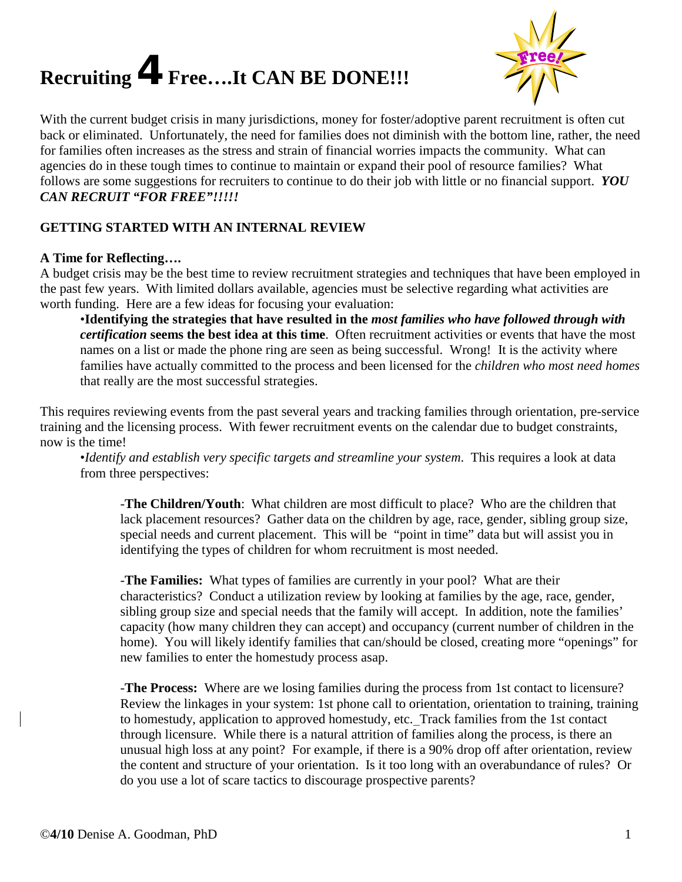# **Recruiting** 4**Free….It CAN BE DONE!!!**



With the current budget crisis in many jurisdictions, money for foster/adoptive parent recruitment is often cut back or eliminated. Unfortunately, the need for families does not diminish with the bottom line, rather, the need for families often increases as the stress and strain of financial worries impacts the community. What can agencies do in these tough times to continue to maintain or expand their pool of resource families? What follows are some suggestions for recruiters to continue to do their job with little or no financial support. *YOU CAN RECRUIT "FOR FREE"!!!!!*

## **GETTING STARTED WITH AN INTERNAL REVIEW**

#### **A Time for Reflecting….**

A budget crisis may be the best time to review recruitment strategies and techniques that have been employed in the past few years. With limited dollars available, agencies must be selective regarding what activities are worth funding. Here are a few ideas for focusing your evaluation:

•**Identifying the strategies that have resulted in the** *most families who have followed through with certification* **seems the best idea at this time**. Often recruitment activities or events that have the most names on a list or made the phone ring are seen as being successful. Wrong! It is the activity where families have actually committed to the process and been licensed for the *children who most need homes* that really are the most successful strategies.

This requires reviewing events from the past several years and tracking families through orientation, pre-service training and the licensing process. With fewer recruitment events on the calendar due to budget constraints, now is the time!

•*Identify and establish very specific targets and streamline your system*. This requires a look at data from three perspectives:

-**The Children/Youth**: What children are most difficult to place? Who are the children that lack placement resources? Gather data on the children by age, race, gender, sibling group size, special needs and current placement. This will be "point in time" data but will assist you in identifying the types of children for whom recruitment is most needed.

-**The Families:** What types of families are currently in your pool? What are their characteristics? Conduct a utilization review by looking at families by the age, race, gender, sibling group size and special needs that the family will accept. In addition, note the families' capacity (how many children they can accept) and occupancy (current number of children in the home). You will likely identify families that can/should be closed, creating more "openings" for new families to enter the homestudy process asap.

-**The Process:** Where are we losing families during the process from 1st contact to licensure? Review the linkages in your system: 1st phone call to orientation, orientation to training, training to homestudy, application to approved homestudy, etc. Track families from the 1st contact through licensure. While there is a natural attrition of families along the process, is there an unusual high loss at any point? For example, if there is a 90% drop off after orientation, review the content and structure of your orientation. Is it too long with an overabundance of rules? Or do you use a lot of scare tactics to discourage prospective parents?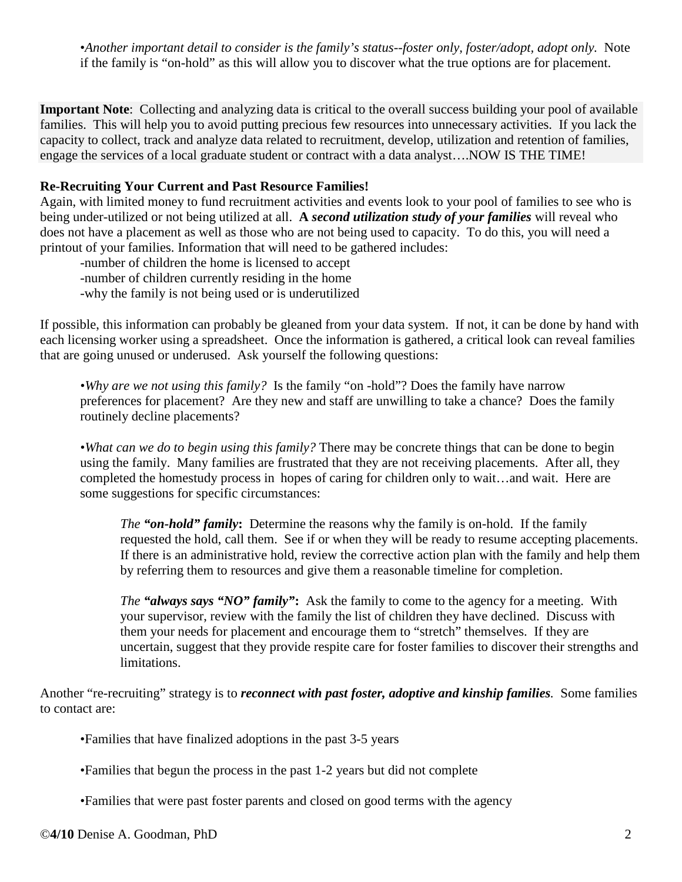•*Another important detail to consider is the family's status--foster only, foster/adopt, adopt only.* Note if the family is "on-hold" as this will allow you to discover what the true options are for placement.

**Important Note**: Collecting and analyzing data is critical to the overall success building your pool of available families. This will help you to avoid putting precious few resources into unnecessary activities. If you lack the capacity to collect, track and analyze data related to recruitment, develop, utilization and retention of families, engage the services of a local graduate student or contract with a data analyst….NOW IS THE TIME!

## **Re-Recruiting Your Current and Past Resource Families!**

Again, with limited money to fund recruitment activities and events look to your pool of families to see who is being under-utilized or not being utilized at all. **A** *second utilization study of your families* will reveal who does not have a placement as well as those who are not being used to capacity. To do this, you will need a printout of your families. Information that will need to be gathered includes:

-number of children the home is licensed to accept -number of children currently residing in the home

-why the family is not being used or is underutilized

If possible, this information can probably be gleaned from your data system. If not, it can be done by hand with each licensing worker using a spreadsheet. Once the information is gathered, a critical look can reveal families that are going unused or underused. Ask yourself the following questions:

*•Why are we not using this family?* Is the family "on -hold"? Does the family have narrow preferences for placement? Are they new and staff are unwilling to take a chance? Does the family routinely decline placements?

*•What can we do to begin using this family?* There may be concrete things that can be done to begin using the family. Many families are frustrated that they are not receiving placements. After all, they completed the homestudy process in hopes of caring for children only to wait…and wait. Here are some suggestions for specific circumstances:

*The "on-hold" family***:** Determine the reasons why the family is on-hold. If the family requested the hold, call them. See if or when they will be ready to resume accepting placements. If there is an administrative hold, review the corrective action plan with the family and help them by referring them to resources and give them a reasonable timeline for completion.

*The "always says "NO" family"***:** Ask the family to come to the agency for a meeting. With your supervisor, review with the family the list of children they have declined. Discuss with them your needs for placement and encourage them to "stretch" themselves. If they are uncertain, suggest that they provide respite care for foster families to discover their strengths and limitations.

Another "re-recruiting" strategy is to *reconnect with past foster, adoptive and kinship families.* Some families to contact are:

•Families that have finalized adoptions in the past 3-5 years

•Families that begun the process in the past 1-2 years but did not complete

•Families that were past foster parents and closed on good terms with the agency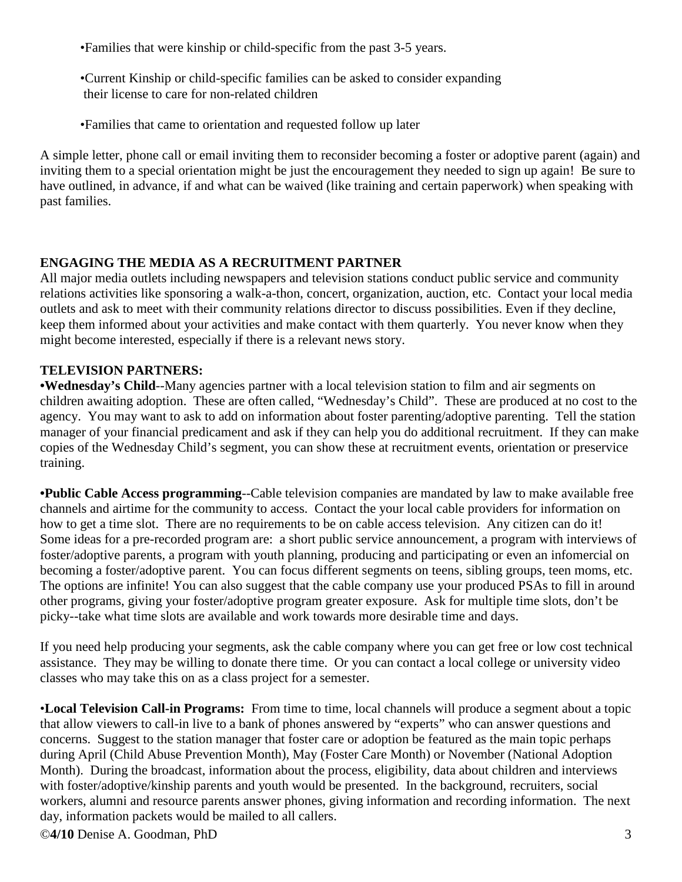•Families that were kinship or child-specific from the past 3-5 years.

•Current Kinship or child-specific families can be asked to consider expanding their license to care for non-related children

•Families that came to orientation and requested follow up later

A simple letter, phone call or email inviting them to reconsider becoming a foster or adoptive parent (again) and inviting them to a special orientation might be just the encouragement they needed to sign up again! Be sure to have outlined, in advance, if and what can be waived (like training and certain paperwork) when speaking with past families.

# **ENGAGING THE MEDIA AS A RECRUITMENT PARTNER**

All major media outlets including newspapers and television stations conduct public service and community relations activities like sponsoring a walk-a-thon, concert, organization, auction, etc. Contact your local media outlets and ask to meet with their community relations director to discuss possibilities. Even if they decline, keep them informed about your activities and make contact with them quarterly. You never know when they might become interested, especially if there is a relevant news story.

# **TELEVISION PARTNERS:**

**•Wednesday's Child**--Many agencies partner with a local television station to film and air segments on children awaiting adoption. These are often called, "Wednesday's Child". These are produced at no cost to the agency. You may want to ask to add on information about foster parenting/adoptive parenting. Tell the station manager of your financial predicament and ask if they can help you do additional recruitment. If they can make copies of the Wednesday Child's segment, you can show these at recruitment events, orientation or preservice training.

**•Public Cable Access programming**--Cable television companies are mandated by law to make available free channels and airtime for the community to access. Contact the your local cable providers for information on how to get a time slot. There are no requirements to be on cable access television. Any citizen can do it! Some ideas for a pre-recorded program are: a short public service announcement, a program with interviews of foster/adoptive parents, a program with youth planning, producing and participating or even an infomercial on becoming a foster/adoptive parent. You can focus different segments on teens, sibling groups, teen moms, etc. The options are infinite! You can also suggest that the cable company use your produced PSAs to fill in around other programs, giving your foster/adoptive program greater exposure. Ask for multiple time slots, don't be picky--take what time slots are available and work towards more desirable time and days.

If you need help producing your segments, ask the cable company where you can get free or low cost technical assistance. They may be willing to donate there time. Or you can contact a local college or university video classes who may take this on as a class project for a semester.

•**Local Television Call-in Programs:** From time to time, local channels will produce a segment about a topic that allow viewers to call-in live to a bank of phones answered by "experts" who can answer questions and concerns. Suggest to the station manager that foster care or adoption be featured as the main topic perhaps during April (Child Abuse Prevention Month), May (Foster Care Month) or November (National Adoption Month). During the broadcast, information about the process, eligibility, data about children and interviews with foster/adoptive/kinship parents and youth would be presented. In the background, recruiters, social workers, alumni and resource parents answer phones, giving information and recording information. The next day, information packets would be mailed to all callers.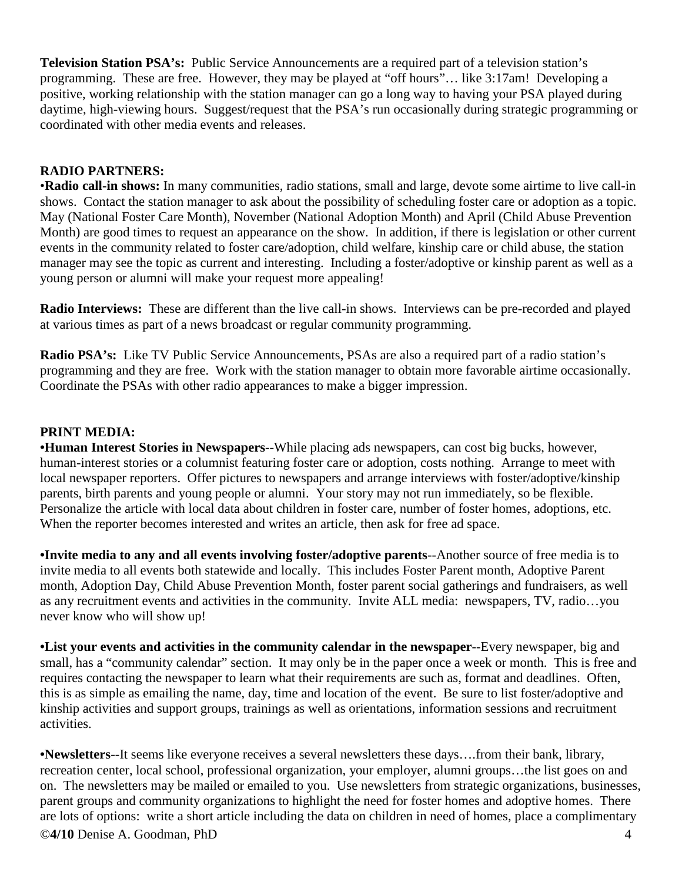**Television Station PSA's:** Public Service Announcements are a required part of a television station's programming. These are free. However, they may be played at "off hours"… like 3:17am! Developing a positive, working relationship with the station manager can go a long way to having your PSA played during daytime, high-viewing hours. Suggest/request that the PSA's run occasionally during strategic programming or coordinated with other media events and releases.

#### **RADIO PARTNERS:**

•**Radio call-in shows:** In many communities, radio stations, small and large, devote some airtime to live call-in shows. Contact the station manager to ask about the possibility of scheduling foster care or adoption as a topic. May (National Foster Care Month), November (National Adoption Month) and April (Child Abuse Prevention Month) are good times to request an appearance on the show. In addition, if there is legislation or other current events in the community related to foster care/adoption, child welfare, kinship care or child abuse, the station manager may see the topic as current and interesting. Including a foster/adoptive or kinship parent as well as a young person or alumni will make your request more appealing!

**Radio Interviews:** These are different than the live call-in shows. Interviews can be pre-recorded and played at various times as part of a news broadcast or regular community programming.

**Radio PSA's:** Like TV Public Service Announcements, PSAs are also a required part of a radio station's programming and they are free. Work with the station manager to obtain more favorable airtime occasionally. Coordinate the PSAs with other radio appearances to make a bigger impression.

## **PRINT MEDIA:**

**•Human Interest Stories in Newspapers**--While placing ads newspapers, can cost big bucks, however, human-interest stories or a columnist featuring foster care or adoption, costs nothing. Arrange to meet with local newspaper reporters. Offer pictures to newspapers and arrange interviews with foster/adoptive/kinship parents, birth parents and young people or alumni. Your story may not run immediately, so be flexible. Personalize the article with local data about children in foster care, number of foster homes, adoptions, etc. When the reporter becomes interested and writes an article, then ask for free ad space.

**•Invite media to any and all events involving foster/adoptive parents**--Another source of free media is to invite media to all events both statewide and locally. This includes Foster Parent month, Adoptive Parent month, Adoption Day, Child Abuse Prevention Month, foster parent social gatherings and fundraisers, as well as any recruitment events and activities in the community. Invite ALL media: newspapers, TV, radio…you never know who will show up!

**•List your events and activities in the community calendar in the newspaper**--Every newspaper, big and small, has a "community calendar" section. It may only be in the paper once a week or month. This is free and requires contacting the newspaper to learn what their requirements are such as, format and deadlines. Often, this is as simple as emailing the name, day, time and location of the event. Be sure to list foster/adoptive and kinship activities and support groups, trainings as well as orientations, information sessions and recruitment activities.

**•Newsletters**--It seems like everyone receives a several newsletters these days….from their bank, library, recreation center, local school, professional organization, your employer, alumni groups…the list goes on and on. The newsletters may be mailed or emailed to you. Use newsletters from strategic organizations, businesses, parent groups and community organizations to highlight the need for foster homes and adoptive homes. There are lots of options: write a short article including the data on children in need of homes, place a complimentary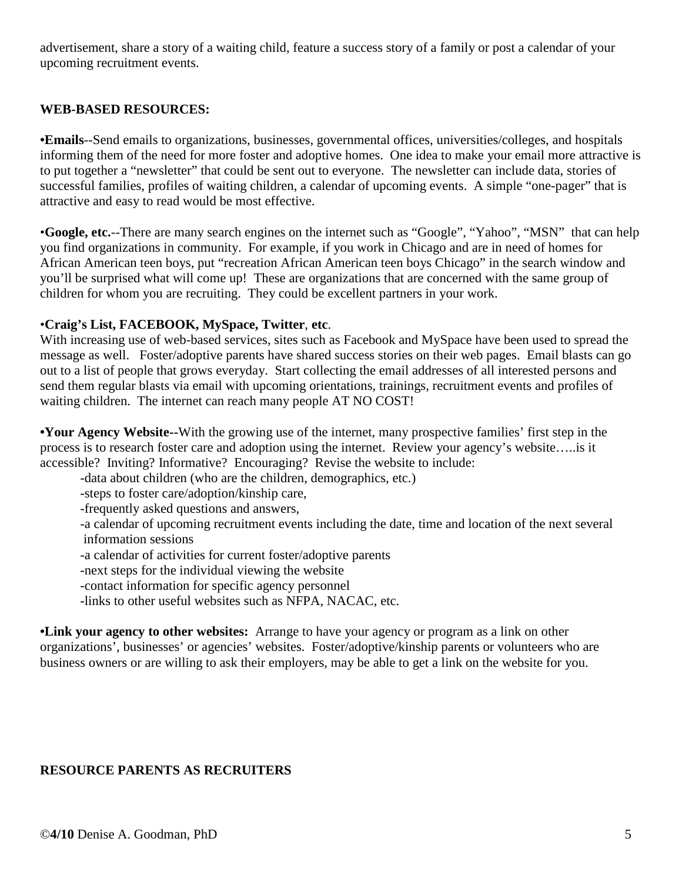advertisement, share a story of a waiting child, feature a success story of a family or post a calendar of your upcoming recruitment events.

## **WEB-BASED RESOURCES:**

**•Emails**--Send emails to organizations, businesses, governmental offices, universities/colleges, and hospitals informing them of the need for more foster and adoptive homes. One idea to make your email more attractive is to put together a "newsletter" that could be sent out to everyone. The newsletter can include data, stories of successful families, profiles of waiting children, a calendar of upcoming events. A simple "one-pager" that is attractive and easy to read would be most effective.

•**Google, etc.**--There are many search engines on the internet such as "Google", "Yahoo", "MSN" that can help you find organizations in community. For example, if you work in Chicago and are in need of homes for African American teen boys, put "recreation African American teen boys Chicago" in the search window and you'll be surprised what will come up! These are organizations that are concerned with the same group of children for whom you are recruiting. They could be excellent partners in your work.

#### •**Craig's List, FACEBOOK, MySpace, Twitter**, **etc**.

With increasing use of web-based services, sites such as Facebook and MySpace have been used to spread the message as well. Foster/adoptive parents have shared success stories on their web pages. Email blasts can go out to a list of people that grows everyday. Start collecting the email addresses of all interested persons and send them regular blasts via email with upcoming orientations, trainings, recruitment events and profiles of waiting children. The internet can reach many people AT NO COST!

**•Your Agency Website--**With the growing use of the internet, many prospective families' first step in the process is to research foster care and adoption using the internet. Review your agency's website…..is it accessible? Inviting? Informative? Encouraging? Revise the website to include:

-data about children (who are the children, demographics, etc.)

-steps to foster care/adoption/kinship care,

-frequently asked questions and answers,

-a calendar of upcoming recruitment events including the date, time and location of the next several information sessions

-a calendar of activities for current foster/adoptive parents

-next steps for the individual viewing the website

-contact information for specific agency personnel

-links to other useful websites such as NFPA, NACAC, etc.

**•Link your agency to other websites:** Arrange to have your agency or program as a link on other organizations', businesses' or agencies' websites. Foster/adoptive/kinship parents or volunteers who are business owners or are willing to ask their employers, may be able to get a link on the website for you.

## **RESOURCE PARENTS AS RECRUITERS**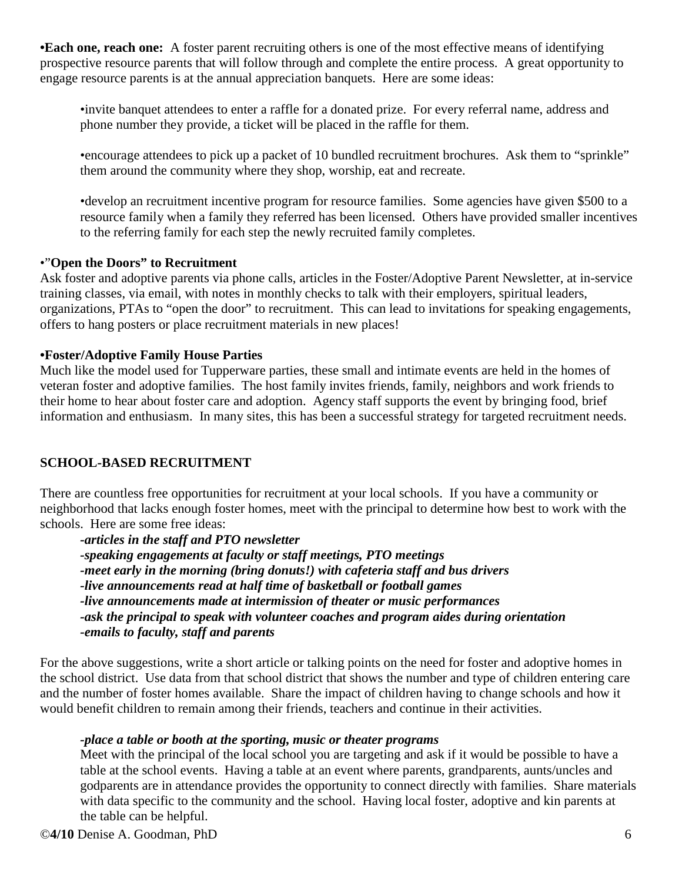**•Each one, reach one:** A foster parent recruiting others is one of the most effective means of identifying prospective resource parents that will follow through and complete the entire process. A great opportunity to engage resource parents is at the annual appreciation banquets. Here are some ideas:

•invite banquet attendees to enter a raffle for a donated prize. For every referral name, address and phone number they provide, a ticket will be placed in the raffle for them.

•encourage attendees to pick up a packet of 10 bundled recruitment brochures. Ask them to "sprinkle" them around the community where they shop, worship, eat and recreate.

•develop an recruitment incentive program for resource families. Some agencies have given \$500 to a resource family when a family they referred has been licensed. Others have provided smaller incentives to the referring family for each step the newly recruited family completes.

#### •"**Open the Doors" to Recruitment**

Ask foster and adoptive parents via phone calls, articles in the Foster/Adoptive Parent Newsletter, at in-service training classes, via email, with notes in monthly checks to talk with their employers, spiritual leaders, organizations, PTAs to "open the door" to recruitment. This can lead to invitations for speaking engagements, offers to hang posters or place recruitment materials in new places!

#### **•Foster/Adoptive Family House Parties**

Much like the model used for Tupperware parties, these small and intimate events are held in the homes of veteran foster and adoptive families. The host family invites friends, family, neighbors and work friends to their home to hear about foster care and adoption. Agency staff supports the event by bringing food, brief information and enthusiasm. In many sites, this has been a successful strategy for targeted recruitment needs.

## **SCHOOL-BASED RECRUITMENT**

There are countless free opportunities for recruitment at your local schools. If you have a community or neighborhood that lacks enough foster homes, meet with the principal to determine how best to work with the schools. Here are some free ideas:

*-articles in the staff and PTO newsletter -speaking engagements at faculty or staff meetings, PTO meetings -meet early in the morning (bring donuts!) with cafeteria staff and bus drivers -live announcements read at half time of basketball or football games -live announcements made at intermission of theater or music performances -ask the principal to speak with volunteer coaches and program aides during orientation -emails to faculty, staff and parents*

For the above suggestions, write a short article or talking points on the need for foster and adoptive homes in the school district. Use data from that school district that shows the number and type of children entering care and the number of foster homes available. Share the impact of children having to change schools and how it would benefit children to remain among their friends, teachers and continue in their activities.

## *-place a table or booth at the sporting, music or theater programs*

Meet with the principal of the local school you are targeting and ask if it would be possible to have a table at the school events. Having a table at an event where parents, grandparents, aunts/uncles and godparents are in attendance provides the opportunity to connect directly with families. Share materials with data specific to the community and the school. Having local foster, adoptive and kin parents at the table can be helpful.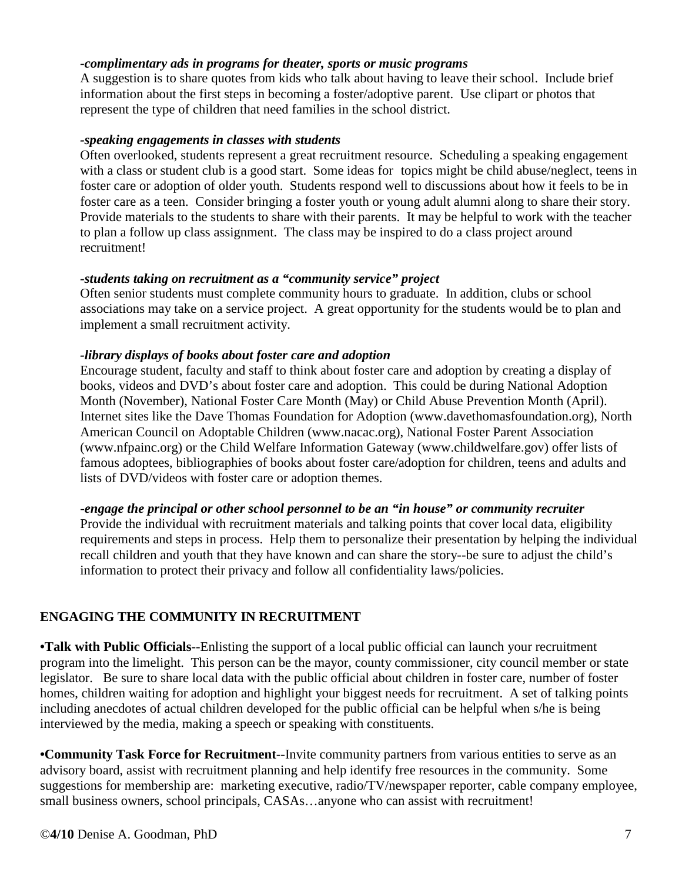#### *-complimentary ads in programs for theater, sports or music programs*

A suggestion is to share quotes from kids who talk about having to leave their school. Include brief information about the first steps in becoming a foster/adoptive parent. Use clipart or photos that represent the type of children that need families in the school district.

#### *-speaking engagements in classes with students*

Often overlooked, students represent a great recruitment resource. Scheduling a speaking engagement with a class or student club is a good start. Some ideas for topics might be child abuse/neglect, teens in foster care or adoption of older youth. Students respond well to discussions about how it feels to be in foster care as a teen. Consider bringing a foster youth or young adult alumni along to share their story. Provide materials to the students to share with their parents. It may be helpful to work with the teacher to plan a follow up class assignment. The class may be inspired to do a class project around recruitment!

#### *-students taking on recruitment as a "community service" project*

Often senior students must complete community hours to graduate. In addition, clubs or school associations may take on a service project. A great opportunity for the students would be to plan and implement a small recruitment activity.

#### *-library displays of books about foster care and adoption*

Encourage student, faculty and staff to think about foster care and adoption by creating a display of books, videos and DVD's about foster care and adoption. This could be during National Adoption Month (November), National Foster Care Month (May) or Child Abuse Prevention Month (April). Internet sites like the Dave Thomas Foundation for Adoption (www.davethomasfoundation.org), North American Council on Adoptable Children (www.nacac.org), National Foster Parent Association (www.nfpainc.org) or the Child Welfare Information Gateway (www.childwelfare.gov) offer lists of famous adoptees, bibliographies of books about foster care/adoption for children, teens and adults and lists of DVD/videos with foster care or adoption themes.

#### -*engage the principal or other school personnel to be an "in house" or community recruiter*

Provide the individual with recruitment materials and talking points that cover local data, eligibility requirements and steps in process. Help them to personalize their presentation by helping the individual recall children and youth that they have known and can share the story--be sure to adjust the child's information to protect their privacy and follow all confidentiality laws/policies.

## **ENGAGING THE COMMUNITY IN RECRUITMENT**

**•Talk with Public Officials**--Enlisting the support of a local public official can launch your recruitment program into the limelight. This person can be the mayor, county commissioner, city council member or state legislator. Be sure to share local data with the public official about children in foster care, number of foster homes, children waiting for adoption and highlight your biggest needs for recruitment. A set of talking points including anecdotes of actual children developed for the public official can be helpful when s/he is being interviewed by the media, making a speech or speaking with constituents.

**•Community Task Force for Recruitment**--Invite community partners from various entities to serve as an advisory board, assist with recruitment planning and help identify free resources in the community. Some suggestions for membership are: marketing executive, radio/TV/newspaper reporter, cable company employee, small business owners, school principals, CASAs...anyone who can assist with recruitment!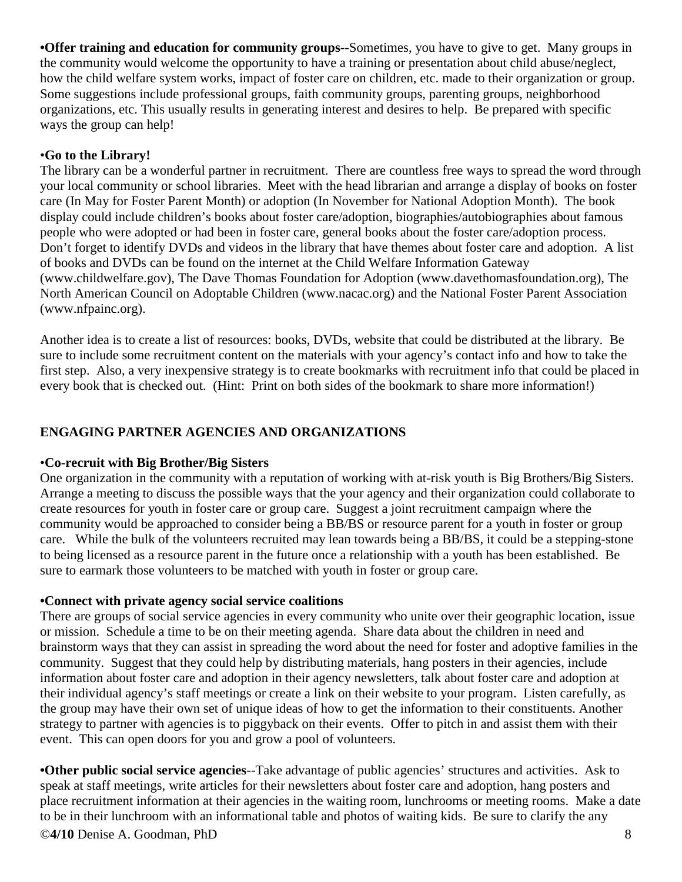**•Offer training and education for community groups**--Sometimes, you have to give to get. Many groups in the community would welcome the opportunity to have a training or presentation about child abuse/neglect, how the child welfare system works, impact of foster care on children, etc. made to their organization or group. Some suggestions include professional groups, faith community groups, parenting groups, neighborhood organizations, etc. This usually results in generating interest and desires to help. Be prepared with specific ways the group can help!

## •**Go to the Library!**

The library can be a wonderful partner in recruitment. There are countless free ways to spread the word through your local community or school libraries. Meet with the head librarian and arrange a display of books on foster care (In May for Foster Parent Month) or adoption (In November for National Adoption Month). The book display could include children's books about foster care/adoption, biographies/autobiographies about famous people who were adopted or had been in foster care, general books about the foster care/adoption process. Don't forget to identify DVDs and videos in the library that have themes about foster care and adoption. A list of books and DVDs can be found on the internet at the Child Welfare Information Gateway (www.childwelfare.gov), The Dave Thomas Foundation for Adoption (www.davethomasfoundation.org), The North American Council on Adoptable Children (www.nacac.org) and the National Foster Parent Association (www.nfpainc.org).

Another idea is to create a list of resources: books, DVDs, website that could be distributed at the library. Be sure to include some recruitment content on the materials with your agency's contact info and how to take the first step. Also, a very inexpensive strategy is to create bookmarks with recruitment info that could be placed in every book that is checked out. (Hint: Print on both sides of the bookmark to share more information!)

## **ENGAGING PARTNER AGENCIES AND ORGANIZATIONS**

## •**Co-recruit with Big Brother/Big Sisters**

One organization in the community with a reputation of working with at-risk youth is Big Brothers/Big Sisters. Arrange a meeting to discuss the possible ways that the your agency and their organization could collaborate to create resources for youth in foster care or group care. Suggest a joint recruitment campaign where the community would be approached to consider being a BB/BS or resource parent for a youth in foster or group care. While the bulk of the volunteers recruited may lean towards being a BB/BS, it could be a stepping-stone to being licensed as a resource parent in the future once a relationship with a youth has been established. Be sure to earmark those volunteers to be matched with youth in foster or group care.

## **•Connect with private agency social service coalitions**

There are groups of social service agencies in every community who unite over their geographic location, issue or mission. Schedule a time to be on their meeting agenda. Share data about the children in need and brainstorm ways that they can assist in spreading the word about the need for foster and adoptive families in the community. Suggest that they could help by distributing materials, hang posters in their agencies, include information about foster care and adoption in their agency newsletters, talk about foster care and adoption at their individual agency's staff meetings or create a link on their website to your program. Listen carefully, as the group may have their own set of unique ideas of how to get the information to their constituents. Another strategy to partner with agencies is to piggyback on their events. Offer to pitch in and assist them with their event. This can open doors for you and grow a pool of volunteers.

**•Other public social service agencies**--Take advantage of public agencies' structures and activities. Ask to speak at staff meetings, write articles for their newsletters about foster care and adoption, hang posters and place recruitment information at their agencies in the waiting room, lunchrooms or meeting rooms. Make a date to be in their lunchroom with an informational table and photos of waiting kids. Be sure to clarify the any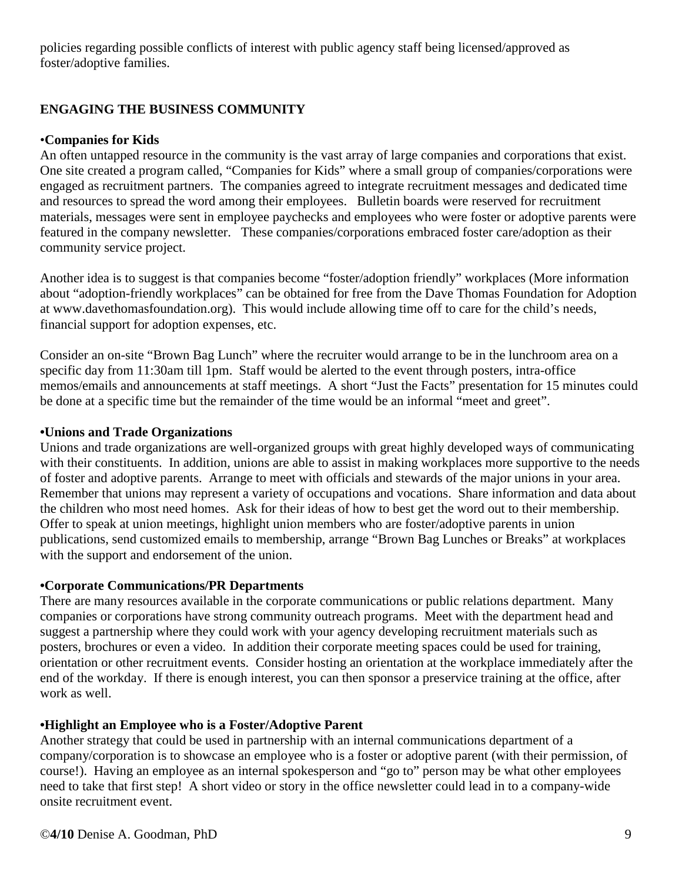policies regarding possible conflicts of interest with public agency staff being licensed/approved as foster/adoptive families.

# **ENGAGING THE BUSINESS COMMUNITY**

## •**Companies for Kids**

An often untapped resource in the community is the vast array of large companies and corporations that exist. One site created a program called, "Companies for Kids" where a small group of companies/corporations were engaged as recruitment partners. The companies agreed to integrate recruitment messages and dedicated time and resources to spread the word among their employees. Bulletin boards were reserved for recruitment materials, messages were sent in employee paychecks and employees who were foster or adoptive parents were featured in the company newsletter. These companies/corporations embraced foster care/adoption as their community service project.

Another idea is to suggest is that companies become "foster/adoption friendly" workplaces (More information about "adoption-friendly workplaces" can be obtained for free from the Dave Thomas Foundation for Adoption at www.davethomasfoundation.org). This would include allowing time off to care for the child's needs, financial support for adoption expenses, etc.

Consider an on-site "Brown Bag Lunch" where the recruiter would arrange to be in the lunchroom area on a specific day from 11:30am till 1pm. Staff would be alerted to the event through posters, intra-office memos/emails and announcements at staff meetings. A short "Just the Facts" presentation for 15 minutes could be done at a specific time but the remainder of the time would be an informal "meet and greet".

## **•Unions and Trade Organizations**

Unions and trade organizations are well-organized groups with great highly developed ways of communicating with their constituents. In addition, unions are able to assist in making workplaces more supportive to the needs of foster and adoptive parents. Arrange to meet with officials and stewards of the major unions in your area. Remember that unions may represent a variety of occupations and vocations. Share information and data about the children who most need homes. Ask for their ideas of how to best get the word out to their membership. Offer to speak at union meetings, highlight union members who are foster/adoptive parents in union publications, send customized emails to membership, arrange "Brown Bag Lunches or Breaks" at workplaces with the support and endorsement of the union.

## **•Corporate Communications/PR Departments**

There are many resources available in the corporate communications or public relations department. Many companies or corporations have strong community outreach programs. Meet with the department head and suggest a partnership where they could work with your agency developing recruitment materials such as posters, brochures or even a video. In addition their corporate meeting spaces could be used for training, orientation or other recruitment events. Consider hosting an orientation at the workplace immediately after the end of the workday. If there is enough interest, you can then sponsor a preservice training at the office, after work as well.

# **•Highlight an Employee who is a Foster/Adoptive Parent**

Another strategy that could be used in partnership with an internal communications department of a company/corporation is to showcase an employee who is a foster or adoptive parent (with their permission, of course!). Having an employee as an internal spokesperson and "go to" person may be what other employees need to take that first step! A short video or story in the office newsletter could lead in to a company-wide onsite recruitment event.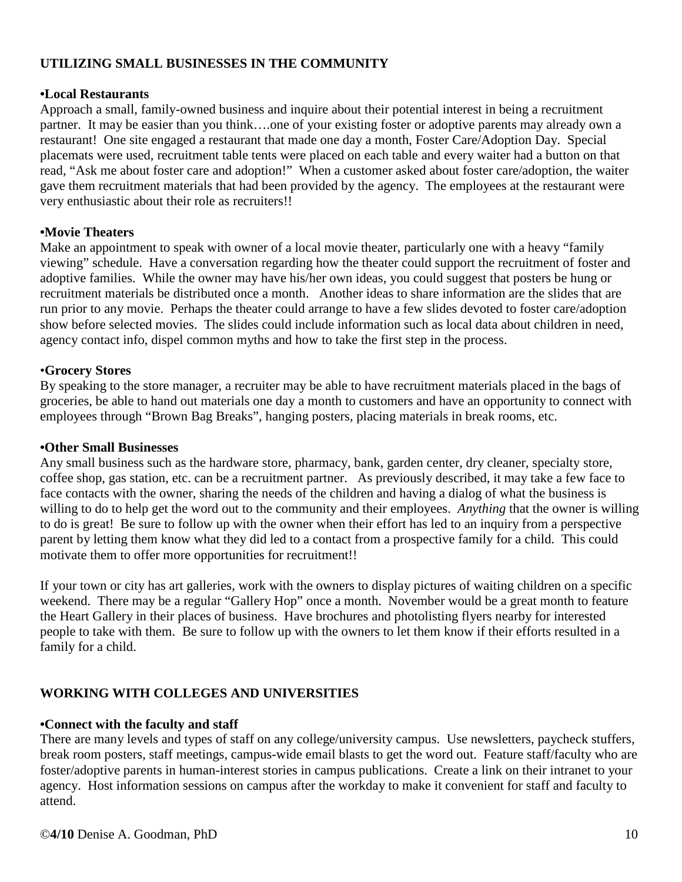## **UTILIZING SMALL BUSINESSES IN THE COMMUNITY**

#### **•Local Restaurants**

Approach a small, family-owned business and inquire about their potential interest in being a recruitment partner. It may be easier than you think….one of your existing foster or adoptive parents may already own a restaurant! One site engaged a restaurant that made one day a month, Foster Care/Adoption Day. Special placemats were used, recruitment table tents were placed on each table and every waiter had a button on that read, "Ask me about foster care and adoption!" When a customer asked about foster care/adoption, the waiter gave them recruitment materials that had been provided by the agency. The employees at the restaurant were very enthusiastic about their role as recruiters!!

## **•Movie Theaters**

Make an appointment to speak with owner of a local movie theater, particularly one with a heavy "family viewing" schedule. Have a conversation regarding how the theater could support the recruitment of foster and adoptive families. While the owner may have his/her own ideas, you could suggest that posters be hung or recruitment materials be distributed once a month. Another ideas to share information are the slides that are run prior to any movie. Perhaps the theater could arrange to have a few slides devoted to foster care/adoption show before selected movies. The slides could include information such as local data about children in need, agency contact info, dispel common myths and how to take the first step in the process.

## •**Grocery Stores**

By speaking to the store manager, a recruiter may be able to have recruitment materials placed in the bags of groceries, be able to hand out materials one day a month to customers and have an opportunity to connect with employees through "Brown Bag Breaks", hanging posters, placing materials in break rooms, etc.

#### **•Other Small Businesses**

Any small business such as the hardware store, pharmacy, bank, garden center, dry cleaner, specialty store, coffee shop, gas station, etc. can be a recruitment partner. As previously described, it may take a few face to face contacts with the owner, sharing the needs of the children and having a dialog of what the business is willing to do to help get the word out to the community and their employees. *Anything* that the owner is willing to do is great! Be sure to follow up with the owner when their effort has led to an inquiry from a perspective parent by letting them know what they did led to a contact from a prospective family for a child. This could motivate them to offer more opportunities for recruitment!!

If your town or city has art galleries, work with the owners to display pictures of waiting children on a specific weekend. There may be a regular "Gallery Hop" once a month. November would be a great month to feature the Heart Gallery in their places of business. Have brochures and photolisting flyers nearby for interested people to take with them. Be sure to follow up with the owners to let them know if their efforts resulted in a family for a child.

## **WORKING WITH COLLEGES AND UNIVERSITIES**

## **•Connect with the faculty and staff**

There are many levels and types of staff on any college/university campus. Use newsletters, paycheck stuffers, break room posters, staff meetings, campus-wide email blasts to get the word out. Feature staff/faculty who are foster/adoptive parents in human-interest stories in campus publications. Create a link on their intranet to your agency. Host information sessions on campus after the workday to make it convenient for staff and faculty to attend.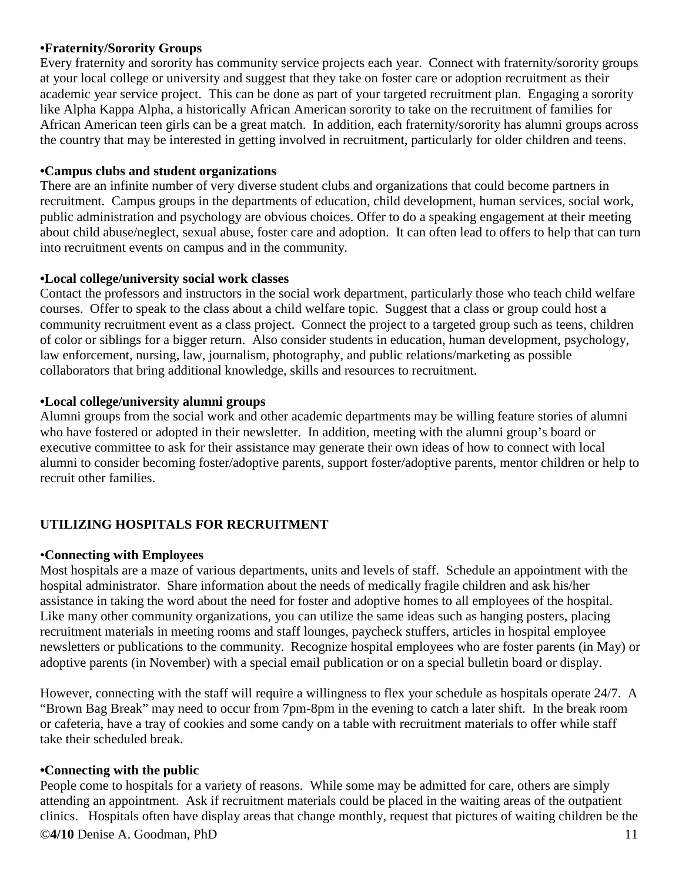## **•Fraternity/Sorority Groups**

Every fraternity and sorority has community service projects each year. Connect with fraternity/sorority groups at your local college or university and suggest that they take on foster care or adoption recruitment as their academic year service project. This can be done as part of your targeted recruitment plan. Engaging a sorority like Alpha Kappa Alpha, a historically African American sorority to take on the recruitment of families for African American teen girls can be a great match. In addition, each fraternity/sorority has alumni groups across the country that may be interested in getting involved in recruitment, particularly for older children and teens.

#### **•Campus clubs and student organizations**

There are an infinite number of very diverse student clubs and organizations that could become partners in recruitment. Campus groups in the departments of education, child development, human services, social work, public administration and psychology are obvious choices. Offer to do a speaking engagement at their meeting about child abuse/neglect, sexual abuse, foster care and adoption. It can often lead to offers to help that can turn into recruitment events on campus and in the community.

#### **•Local college/university social work classes**

Contact the professors and instructors in the social work department, particularly those who teach child welfare courses. Offer to speak to the class about a child welfare topic. Suggest that a class or group could host a community recruitment event as a class project. Connect the project to a targeted group such as teens, children of color or siblings for a bigger return. Also consider students in education, human development, psychology, law enforcement, nursing, law, journalism, photography, and public relations/marketing as possible collaborators that bring additional knowledge, skills and resources to recruitment.

#### **•Local college/university alumni groups**

Alumni groups from the social work and other academic departments may be willing feature stories of alumni who have fostered or adopted in their newsletter. In addition, meeting with the alumni group's board or executive committee to ask for their assistance may generate their own ideas of how to connect with local alumni to consider becoming foster/adoptive parents, support foster/adoptive parents, mentor children or help to recruit other families.

## **UTILIZING HOSPITALS FOR RECRUITMENT**

#### •**Connecting with Employees**

Most hospitals are a maze of various departments, units and levels of staff. Schedule an appointment with the hospital administrator. Share information about the needs of medically fragile children and ask his/her assistance in taking the word about the need for foster and adoptive homes to all employees of the hospital. Like many other community organizations, you can utilize the same ideas such as hanging posters, placing recruitment materials in meeting rooms and staff lounges, paycheck stuffers, articles in hospital employee newsletters or publications to the community. Recognize hospital employees who are foster parents (in May) or adoptive parents (in November) with a special email publication or on a special bulletin board or display.

However, connecting with the staff will require a willingness to flex your schedule as hospitals operate 24/7. A "Brown Bag Break" may need to occur from 7pm-8pm in the evening to catch a later shift. In the break room or cafeteria, have a tray of cookies and some candy on a table with recruitment materials to offer while staff take their scheduled break.

#### **•Connecting with the public**

People come to hospitals for a variety of reasons. While some may be admitted for care, others are simply attending an appointment. Ask if recruitment materials could be placed in the waiting areas of the outpatient clinics. Hospitals often have display areas that change monthly, request that pictures of waiting children be the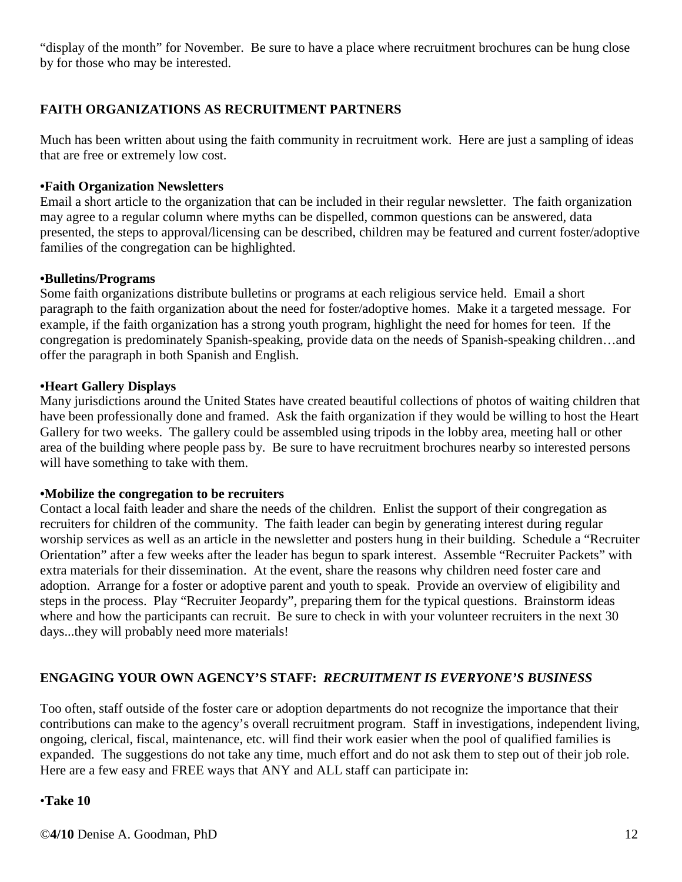"display of the month" for November. Be sure to have a place where recruitment brochures can be hung close by for those who may be interested.

## **FAITH ORGANIZATIONS AS RECRUITMENT PARTNERS**

Much has been written about using the faith community in recruitment work. Here are just a sampling of ideas that are free or extremely low cost.

#### **•Faith Organization Newsletters**

Email a short article to the organization that can be included in their regular newsletter. The faith organization may agree to a regular column where myths can be dispelled, common questions can be answered, data presented, the steps to approval/licensing can be described, children may be featured and current foster/adoptive families of the congregation can be highlighted.

#### **•Bulletins/Programs**

Some faith organizations distribute bulletins or programs at each religious service held. Email a short paragraph to the faith organization about the need for foster/adoptive homes. Make it a targeted message. For example, if the faith organization has a strong youth program, highlight the need for homes for teen. If the congregation is predominately Spanish-speaking, provide data on the needs of Spanish-speaking children…and offer the paragraph in both Spanish and English.

#### **•Heart Gallery Displays**

Many jurisdictions around the United States have created beautiful collections of photos of waiting children that have been professionally done and framed. Ask the faith organization if they would be willing to host the Heart Gallery for two weeks. The gallery could be assembled using tripods in the lobby area, meeting hall or other area of the building where people pass by. Be sure to have recruitment brochures nearby so interested persons will have something to take with them.

#### **•Mobilize the congregation to be recruiters**

Contact a local faith leader and share the needs of the children. Enlist the support of their congregation as recruiters for children of the community. The faith leader can begin by generating interest during regular worship services as well as an article in the newsletter and posters hung in their building. Schedule a "Recruiter Orientation" after a few weeks after the leader has begun to spark interest. Assemble "Recruiter Packets" with extra materials for their dissemination. At the event, share the reasons why children need foster care and adoption. Arrange for a foster or adoptive parent and youth to speak. Provide an overview of eligibility and steps in the process. Play "Recruiter Jeopardy", preparing them for the typical questions. Brainstorm ideas where and how the participants can recruit. Be sure to check in with your volunteer recruiters in the next 30 days...they will probably need more materials!

## **ENGAGING YOUR OWN AGENCY'S STAFF:** *RECRUITMENT IS EVERYONE'S BUSINESS*

Too often, staff outside of the foster care or adoption departments do not recognize the importance that their contributions can make to the agency's overall recruitment program. Staff in investigations, independent living, ongoing, clerical, fiscal, maintenance, etc. will find their work easier when the pool of qualified families is expanded. The suggestions do not take any time, much effort and do not ask them to step out of their job role. Here are a few easy and FREE ways that ANY and ALL staff can participate in:

#### •**Take 10**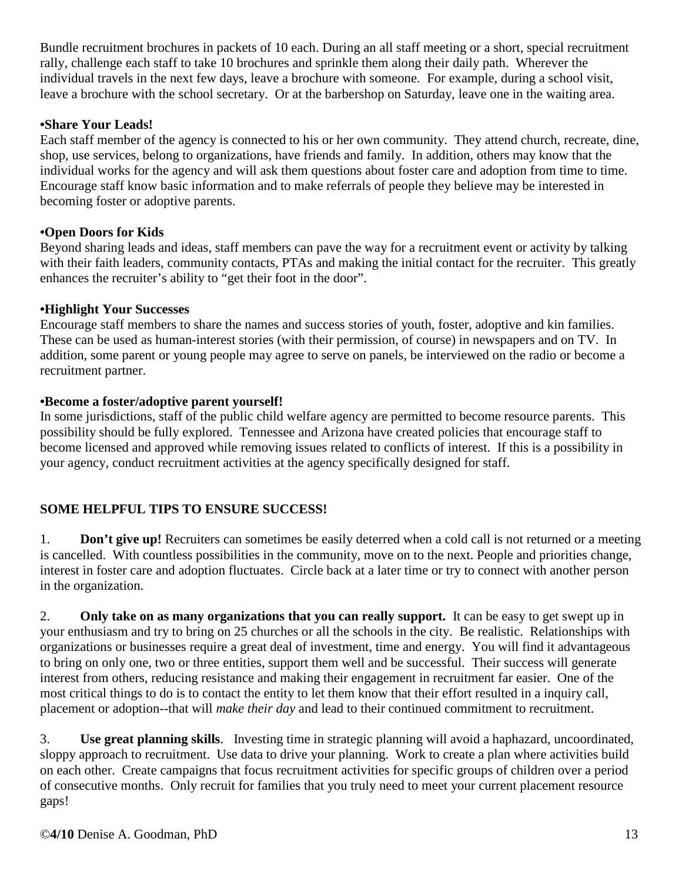Bundle recruitment brochures in packets of 10 each. During an all staff meeting or a short, special recruitment rally, challenge each staff to take 10 brochures and sprinkle them along their daily path. Wherever the individual travels in the next few days, leave a brochure with someone. For example, during a school visit, leave a brochure with the school secretary. Or at the barbershop on Saturday, leave one in the waiting area.

## **•Share Your Leads!**

Each staff member of the agency is connected to his or her own community. They attend church, recreate, dine, shop, use services, belong to organizations, have friends and family. In addition, others may know that the individual works for the agency and will ask them questions about foster care and adoption from time to time. Encourage staff know basic information and to make referrals of people they believe may be interested in becoming foster or adoptive parents.

## **•Open Doors for Kids**

Beyond sharing leads and ideas, staff members can pave the way for a recruitment event or activity by talking with their faith leaders, community contacts, PTAs and making the initial contact for the recruiter. This greatly enhances the recruiter's ability to "get their foot in the door".

## **•Highlight Your Successes**

Encourage staff members to share the names and success stories of youth, foster, adoptive and kin families. These can be used as human-interest stories (with their permission, of course) in newspapers and on TV. In addition, some parent or young people may agree to serve on panels, be interviewed on the radio or become a recruitment partner.

## **•Become a foster/adoptive parent yourself!**

In some jurisdictions, staff of the public child welfare agency are permitted to become resource parents. This possibility should be fully explored. Tennessee and Arizona have created policies that encourage staff to become licensed and approved while removing issues related to conflicts of interest. If this is a possibility in your agency, conduct recruitment activities at the agency specifically designed for staff.

# **SOME HELPFUL TIPS TO ENSURE SUCCESS!**

1. **Don't give up!** Recruiters can sometimes be easily deterred when a cold call is not returned or a meeting is cancelled. With countless possibilities in the community, move on to the next. People and priorities change, interest in foster care and adoption fluctuates. Circle back at a later time or try to connect with another person in the organization.

2. **Only take on as many organizations that you can really support.** It can be easy to get swept up in your enthusiasm and try to bring on 25 churches or all the schools in the city. Be realistic. Relationships with organizations or businesses require a great deal of investment, time and energy. You will find it advantageous to bring on only one, two or three entities, support them well and be successful. Their success will generate interest from others, reducing resistance and making their engagement in recruitment far easier. One of the most critical things to do is to contact the entity to let them know that their effort resulted in a inquiry call, placement or adoption--that will *make their day* and lead to their continued commitment to recruitment.

3. **Use great planning skills**. Investing time in strategic planning will avoid a haphazard, uncoordinated, sloppy approach to recruitment. Use data to drive your planning. Work to create a plan where activities build on each other. Create campaigns that focus recruitment activities for specific groups of children over a period of consecutive months. Only recruit for families that you truly need to meet your current placement resource gaps!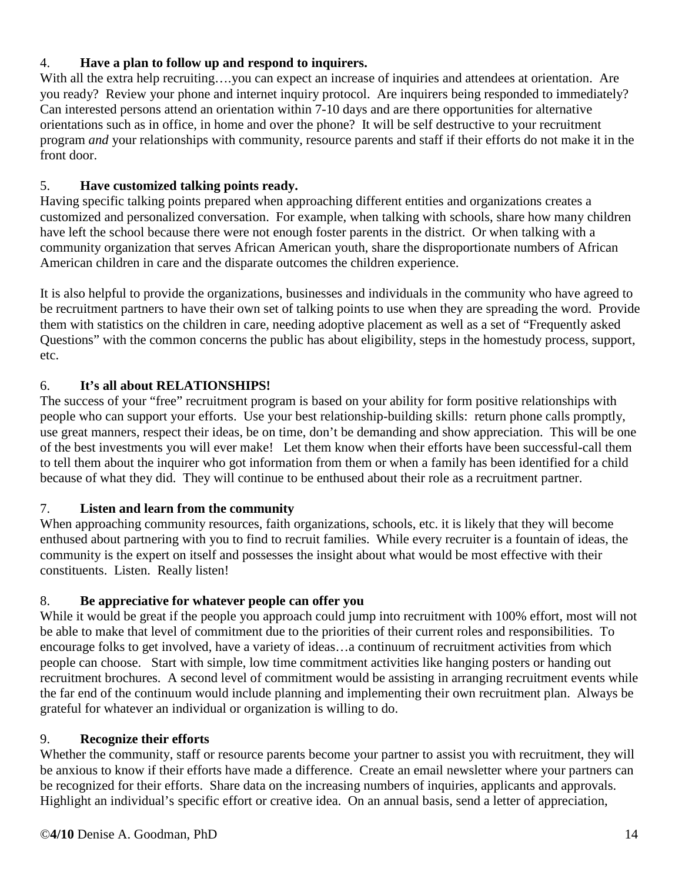## 4. **Have a plan to follow up and respond to inquirers.**

With all the extra help recruiting....you can expect an increase of inquiries and attendees at orientation. Are you ready? Review your phone and internet inquiry protocol. Are inquirers being responded to immediately? Can interested persons attend an orientation within 7-10 days and are there opportunities for alternative orientations such as in office, in home and over the phone? It will be self destructive to your recruitment program *and* your relationships with community, resource parents and staff if their efforts do not make it in the front door.

## 5. **Have customized talking points ready.**

Having specific talking points prepared when approaching different entities and organizations creates a customized and personalized conversation. For example, when talking with schools, share how many children have left the school because there were not enough foster parents in the district. Or when talking with a community organization that serves African American youth, share the disproportionate numbers of African American children in care and the disparate outcomes the children experience.

It is also helpful to provide the organizations, businesses and individuals in the community who have agreed to be recruitment partners to have their own set of talking points to use when they are spreading the word. Provide them with statistics on the children in care, needing adoptive placement as well as a set of "Frequently asked Questions" with the common concerns the public has about eligibility, steps in the homestudy process, support, etc.

# 6. **It's all about RELATIONSHIPS!**

The success of your "free" recruitment program is based on your ability for form positive relationships with people who can support your efforts. Use your best relationship-building skills: return phone calls promptly, use great manners, respect their ideas, be on time, don't be demanding and show appreciation. This will be one of the best investments you will ever make! Let them know when their efforts have been successful-call them to tell them about the inquirer who got information from them or when a family has been identified for a child because of what they did. They will continue to be enthused about their role as a recruitment partner.

# 7. **Listen and learn from the community**

When approaching community resources, faith organizations, schools, etc. it is likely that they will become enthused about partnering with you to find to recruit families. While every recruiter is a fountain of ideas, the community is the expert on itself and possesses the insight about what would be most effective with their constituents. Listen. Really listen!

# 8. **Be appreciative for whatever people can offer you**

While it would be great if the people you approach could jump into recruitment with 100% effort, most will not be able to make that level of commitment due to the priorities of their current roles and responsibilities. To encourage folks to get involved, have a variety of ideas…a continuum of recruitment activities from which people can choose. Start with simple, low time commitment activities like hanging posters or handing out recruitment brochures. A second level of commitment would be assisting in arranging recruitment events while the far end of the continuum would include planning and implementing their own recruitment plan. Always be grateful for whatever an individual or organization is willing to do.

## 9. **Recognize their efforts**

Whether the community, staff or resource parents become your partner to assist you with recruitment, they will be anxious to know if their efforts have made a difference. Create an email newsletter where your partners can be recognized for their efforts. Share data on the increasing numbers of inquiries, applicants and approvals. Highlight an individual's specific effort or creative idea. On an annual basis, send a letter of appreciation,